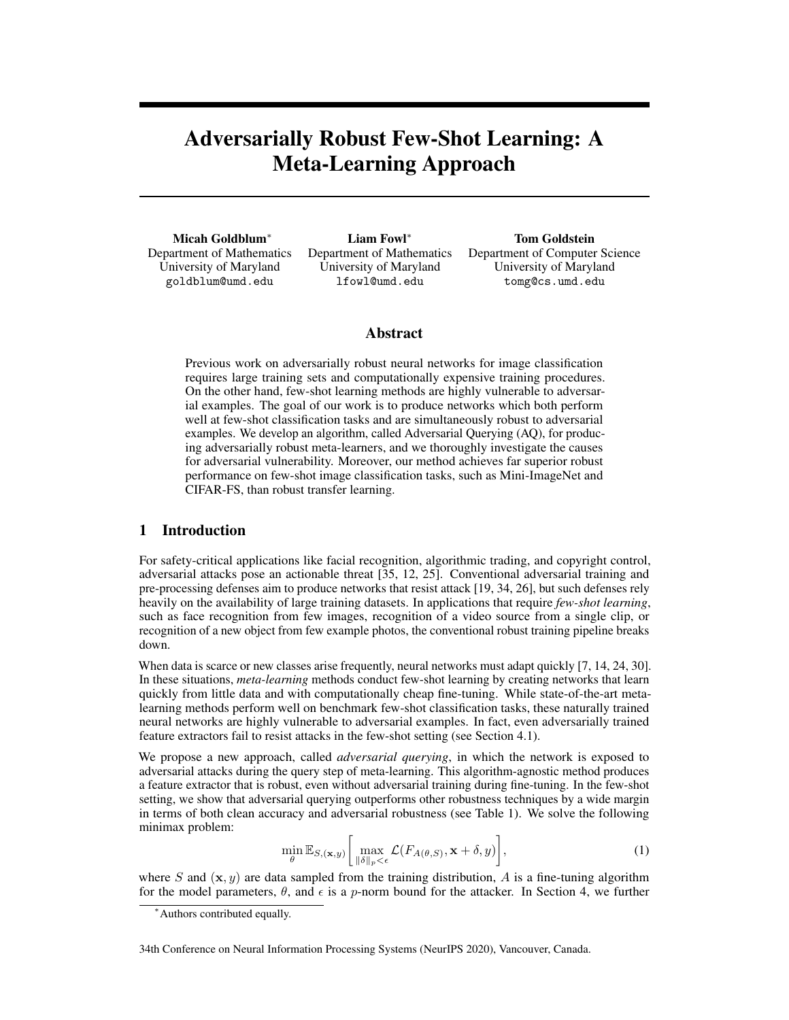# Adversarially Robust Few-Shot Learning: A Meta-Learning Approach

Micah Goldblum∗ Department of Mathematics University of Maryland goldblum@umd.edu

Liam Fowl∗ Department of Mathematics University of Maryland lfowl@umd.edu

Tom Goldstein Department of Computer Science University of Maryland tomg@cs.umd.edu

## Abstract

Previous work on adversarially robust neural networks for image classification requires large training sets and computationally expensive training procedures. On the other hand, few-shot learning methods are highly vulnerable to adversarial examples. The goal of our work is to produce networks which both perform well at few-shot classification tasks and are simultaneously robust to adversarial examples. We develop an algorithm, called Adversarial Querying (AQ), for producing adversarially robust meta-learners, and we thoroughly investigate the causes for adversarial vulnerability. Moreover, our method achieves far superior robust performance on few-shot image classification tasks, such as Mini-ImageNet and CIFAR-FS, than robust transfer learning.

# 1 Introduction

For safety-critical applications like facial recognition, algorithmic trading, and copyright control, adversarial attacks pose an actionable threat [35, 12, 25]. Conventional adversarial training and pre-processing defenses aim to produce networks that resist attack [19, 34, 26], but such defenses rely heavily on the availability of large training datasets. In applications that require *few-shot learning*, such as face recognition from few images, recognition of a video source from a single clip, or recognition of a new object from few example photos, the conventional robust training pipeline breaks down.

When data is scarce or new classes arise frequently, neural networks must adapt quickly [7, 14, 24, 30]. In these situations, *meta-learning* methods conduct few-shot learning by creating networks that learn quickly from little data and with computationally cheap fine-tuning. While state-of-the-art metalearning methods perform well on benchmark few-shot classification tasks, these naturally trained neural networks are highly vulnerable to adversarial examples. In fact, even adversarially trained feature extractors fail to resist attacks in the few-shot setting (see Section 4.1).

We propose a new approach, called *adversarial querying*, in which the network is exposed to adversarial attacks during the query step of meta-learning. This algorithm-agnostic method produces a feature extractor that is robust, even without adversarial training during fine-tuning. In the few-shot setting, we show that adversarial querying outperforms other robustness techniques by a wide margin in terms of both clean accuracy and adversarial robustness (see Table 1). We solve the following minimax problem:

$$
\min_{\theta} \mathbb{E}_{S,(\mathbf{x},y)} \bigg[ \max_{\|\delta\|_p < \epsilon} \mathcal{L}(F_{A(\theta,S)}, \mathbf{x} + \delta, y) \bigg],\tag{1}
$$

where S and  $(x, y)$  are data sampled from the training distribution, A is a fine-tuning algorithm for the model parameters,  $\theta$ , and  $\epsilon$  is a p-norm bound for the attacker. In Section 4, we further

34th Conference on Neural Information Processing Systems (NeurIPS 2020), Vancouver, Canada.

<sup>∗</sup>Authors contributed equally.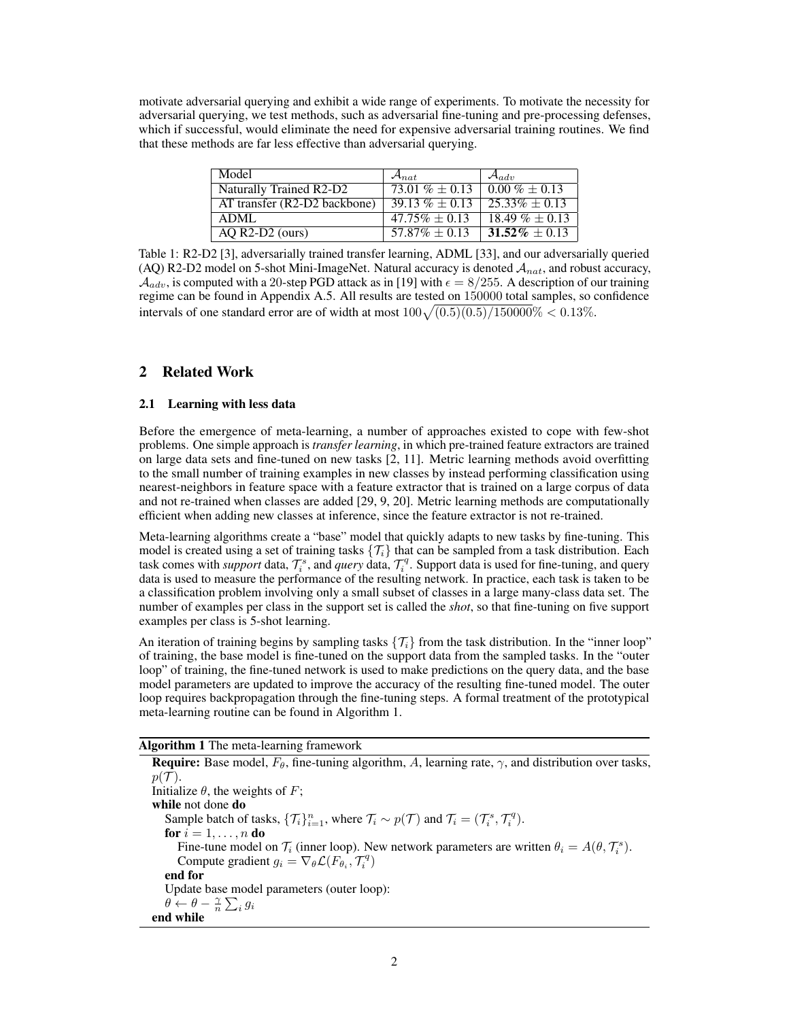motivate adversarial querying and exhibit a wide range of experiments. To motivate the necessity for adversarial querying, we test methods, such as adversarial fine-tuning and pre-processing defenses, which if successful, would eliminate the need for expensive adversarial training routines. We find that these methods are far less effective than adversarial querying.

| Model                          | $\mathcal{A}_{nat}$     | $\mathcal{A}_{adv}$ |
|--------------------------------|-------------------------|---------------------|
| Naturally Trained R2-D2        | $\sqrt{73.01\%}$ + 0.13 | $0.00\% + 0.13$     |
| $AT$ transfer (R2-D2 backbone) | $39.13\% \pm 0.13$      | $25.33\% \pm 0.13$  |
| ADML                           | $47.75\% \pm 0.13$      | $18.49\% \pm 0.13$  |
| $AQ$ R2-D2 (ours)              | $57.87\% \pm 0.13$      | $31.52\% \pm 0.13$  |

Table 1: R2-D2 [3], adversarially trained transfer learning, ADML [33], and our adversarially queried (AQ) R2-D2 model on 5-shot Mini-ImageNet. Natural accuracy is denoted  $A_{nat}$ , and robust accuracy,  $A_{adv}$ , is computed with a 20-step PGD attack as in [19] with  $\epsilon = 8/255$ . A description of our training regime can be found in Appendix A.5. All results are tested on 150000 total samples, so confidence intervals of one standard error are of width at most  $100\sqrt{(0.5)(0.5)/150000}\% < 0.13\%$ .

# 2 Related Work

### 2.1 Learning with less data

Before the emergence of meta-learning, a number of approaches existed to cope with few-shot problems. One simple approach is *transfer learning*, in which pre-trained feature extractors are trained on large data sets and fine-tuned on new tasks [2, 11]. Metric learning methods avoid overfitting to the small number of training examples in new classes by instead performing classification using nearest-neighbors in feature space with a feature extractor that is trained on a large corpus of data and not re-trained when classes are added [29, 9, 20]. Metric learning methods are computationally efficient when adding new classes at inference, since the feature extractor is not re-trained.

Meta-learning algorithms create a "base" model that quickly adapts to new tasks by fine-tuning. This model is created using a set of training tasks  $\{\mathcal{T}_i\}$  that can be sampled from a task distribution. Each task comes with *support* data,  $\mathcal{T}_i^s$ , and *query* data,  $\mathcal{T}_i^q$ . Support data is used for fine-tuning, and query data is used to measure the performance of the resulting network. In practice, each task is taken to be a classification problem involving only a small subset of classes in a large many-class data set. The number of examples per class in the support set is called the *shot*, so that fine-tuning on five support examples per class is 5-shot learning.

An iteration of training begins by sampling tasks  $\{\mathcal{T}_i\}$  from the task distribution. In the "inner loop" of training, the base model is fine-tuned on the support data from the sampled tasks. In the "outer loop" of training, the fine-tuned network is used to make predictions on the query data, and the base model parameters are updated to improve the accuracy of the resulting fine-tuned model. The outer loop requires backpropagation through the fine-tuning steps. A formal treatment of the prototypical meta-learning routine can be found in Algorithm 1.

### Algorithm 1 The meta-learning framework

**Require:** Base model,  $F_{\theta}$ , fine-tuning algorithm, A, learning rate,  $\gamma$ , and distribution over tasks,  $p(\mathcal{T}).$ Initialize  $\theta$ , the weights of F; while not done do Sample batch of tasks,  $\{\mathcal{T}_i\}_{i=1}^n$ , where  $\mathcal{T}_i \sim p(\mathcal{T})$  and  $\mathcal{T}_i = (\mathcal{T}_i^s, \mathcal{T}_i^q)$ . for  $i = 1, \ldots, n$  do Fine-tune model on  $\mathcal{T}_i$  (inner loop). New network parameters are written  $\theta_i = A(\theta, \mathcal{T}_i^s)$ . Compute gradient  $g_i = \nabla_{\theta} \mathcal{L}(F_{\theta_i}, T_i^q)$ end for Update base model parameters (outer loop):  $\theta \leftarrow \theta - \frac{\gamma}{n} \sum_i g_i$ end while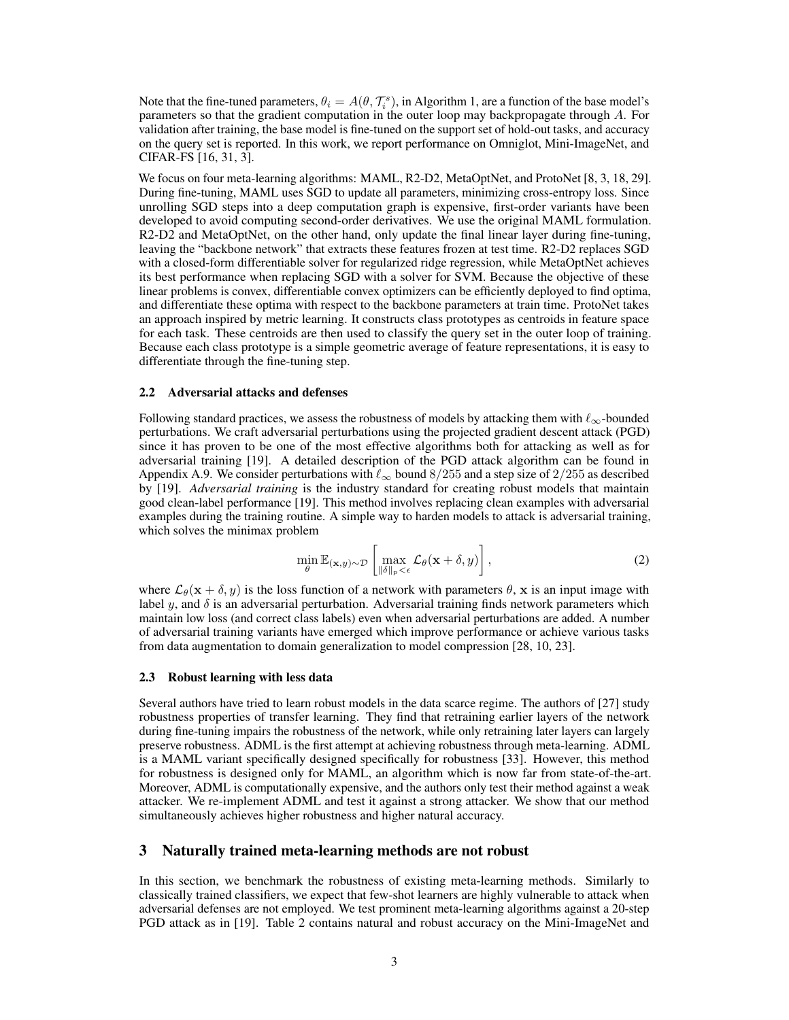Note that the fine-tuned parameters,  $\theta_i = A(\theta, \mathcal{T}_i^s)$ , in Algorithm 1, are a function of the base model's parameters so that the gradient computation in the outer loop may backpropagate through A. For validation after training, the base model is fine-tuned on the support set of hold-out tasks, and accuracy on the query set is reported. In this work, we report performance on Omniglot, Mini-ImageNet, and CIFAR-FS [16, 31, 3].

We focus on four meta-learning algorithms: MAML, R2-D2, MetaOptNet, and ProtoNet [8, 3, 18, 29]. During fine-tuning, MAML uses SGD to update all parameters, minimizing cross-entropy loss. Since unrolling SGD steps into a deep computation graph is expensive, first-order variants have been developed to avoid computing second-order derivatives. We use the original MAML formulation. R2-D2 and MetaOptNet, on the other hand, only update the final linear layer during fine-tuning, leaving the "backbone network" that extracts these features frozen at test time. R2-D2 replaces SGD with a closed-form differentiable solver for regularized ridge regression, while MetaOptNet achieves its best performance when replacing SGD with a solver for SVM. Because the objective of these linear problems is convex, differentiable convex optimizers can be efficiently deployed to find optima, and differentiate these optima with respect to the backbone parameters at train time. ProtoNet takes an approach inspired by metric learning. It constructs class prototypes as centroids in feature space for each task. These centroids are then used to classify the query set in the outer loop of training. Because each class prototype is a simple geometric average of feature representations, it is easy to differentiate through the fine-tuning step.

#### 2.2 Adversarial attacks and defenses

Following standard practices, we assess the robustness of models by attacking them with  $\ell_{\infty}$ -bounded perturbations. We craft adversarial perturbations using the projected gradient descent attack (PGD) since it has proven to be one of the most effective algorithms both for attacking as well as for adversarial training [19]. A detailed description of the PGD attack algorithm can be found in Appendix A.9. We consider perturbations with  $\ell_{\infty}$  bound 8/255 and a step size of 2/255 as described by [19]. *Adversarial training* is the industry standard for creating robust models that maintain good clean-label performance [19]. This method involves replacing clean examples with adversarial examples during the training routine. A simple way to harden models to attack is adversarial training, which solves the minimax problem

$$
\min_{\theta} \mathbb{E}_{(\mathbf{x}, y) \sim \mathcal{D}} \left[ \max_{\|\delta\|_p < \epsilon} \mathcal{L}_{\theta}(\mathbf{x} + \delta, y) \right],\tag{2}
$$

where  $\mathcal{L}_{\theta}(\mathbf{x} + \delta, y)$  is the loss function of a network with parameters  $\theta$ , x is an input image with label  $y$ , and  $\delta$  is an adversarial perturbation. Adversarial training finds network parameters which maintain low loss (and correct class labels) even when adversarial perturbations are added. A number of adversarial training variants have emerged which improve performance or achieve various tasks from data augmentation to domain generalization to model compression [28, 10, 23].

#### 2.3 Robust learning with less data

Several authors have tried to learn robust models in the data scarce regime. The authors of [27] study robustness properties of transfer learning. They find that retraining earlier layers of the network during fine-tuning impairs the robustness of the network, while only retraining later layers can largely preserve robustness. ADML is the first attempt at achieving robustness through meta-learning. ADML is a MAML variant specifically designed specifically for robustness [33]. However, this method for robustness is designed only for MAML, an algorithm which is now far from state-of-the-art. Moreover, ADML is computationally expensive, and the authors only test their method against a weak attacker. We re-implement ADML and test it against a strong attacker. We show that our method simultaneously achieves higher robustness and higher natural accuracy.

#### 3 Naturally trained meta-learning methods are not robust

In this section, we benchmark the robustness of existing meta-learning methods. Similarly to classically trained classifiers, we expect that few-shot learners are highly vulnerable to attack when adversarial defenses are not employed. We test prominent meta-learning algorithms against a 20-step PGD attack as in [19]. Table 2 contains natural and robust accuracy on the Mini-ImageNet and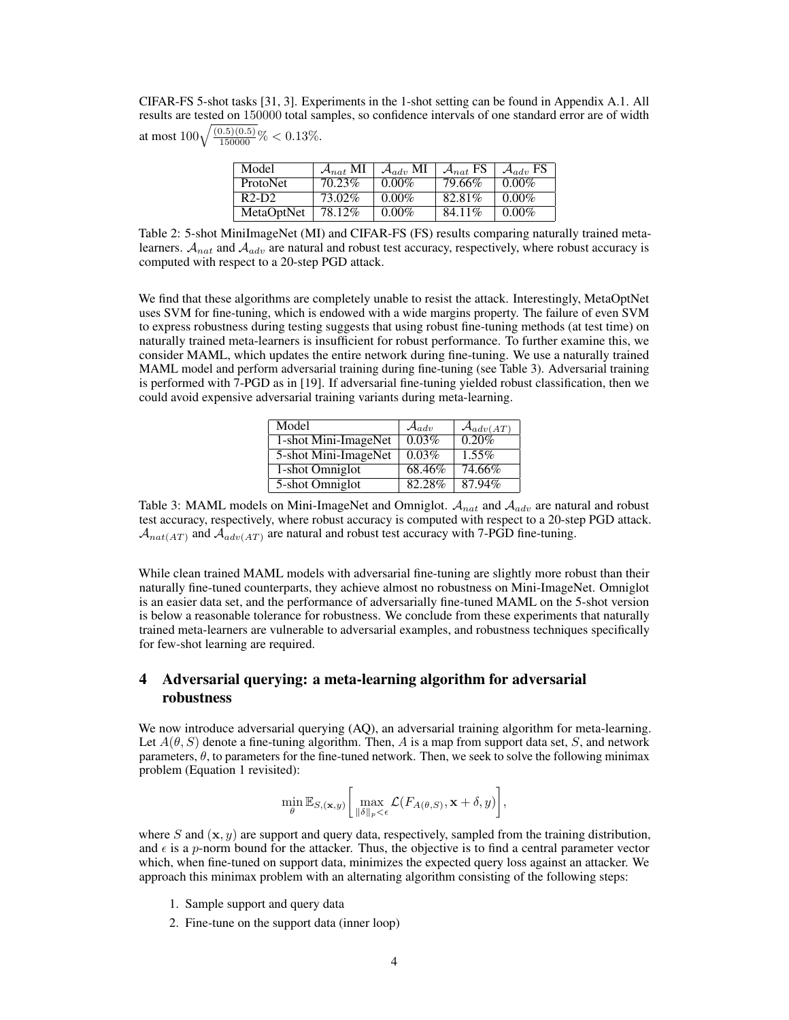CIFAR-FS 5-shot tasks [31, 3]. Experiments in the 1-shot setting can be found in Appendix A.1. All results are tested on 150000 total samples, so confidence intervals of one standard error are of width at most  $100\sqrt{\frac{(0.5)(0.5)}{150000}}\% < 0.13\%$ .

| Model           | $\mathcal{A}_{nat}$ MI | $\mathcal{A}_{adv}$ MI | $\mathcal{A}_{nat}$ FS | $\mathcal{A}_{adv}$ FS |
|-----------------|------------------------|------------------------|------------------------|------------------------|
| <b>ProtoNet</b> | 70.23%                 | $0.00\%$               | 79.66%                 | $0.00\%$               |
| $R2-D2$         | 73.02%                 | $0.00\%$               | 82.81%                 | $0.00\%$               |
| MetaOptNet      | 78.12%                 | $0.00\%$               | 84.11\%                | $0.00\%$               |

Table 2: 5-shot MiniImageNet (MI) and CIFAR-FS (FS) results comparing naturally trained metalearners.  $A_{nat}$  and  $A_{adv}$  are natural and robust test accuracy, respectively, where robust accuracy is computed with respect to a 20-step PGD attack.

We find that these algorithms are completely unable to resist the attack. Interestingly, MetaOptNet uses SVM for fine-tuning, which is endowed with a wide margins property. The failure of even SVM to express robustness during testing suggests that using robust fine-tuning methods (at test time) on naturally trained meta-learners is insufficient for robust performance. To further examine this, we consider MAML, which updates the entire network during fine-tuning. We use a naturally trained MAML model and perform adversarial training during fine-tuning (see Table 3). Adversarial training is performed with 7-PGD as in [19]. If adversarial fine-tuning yielded robust classification, then we could avoid expensive adversarial training variants during meta-learning.

| Model                | $\mathcal{A}_{adv}$ | $\mathcal{A}_{adv(\varLambda T)}$ |
|----------------------|---------------------|-----------------------------------|
| 1-shot Mini-ImageNet | 0.03%               | 0.20%                             |
| 5-shot Mini-ImageNet | $0.03\%$            | $1.55\%$                          |
| 1-shot Omniglot      | 68.46%              | 74.66%                            |
| 5-shot Omniglot      | 82.28%              | 87.94%                            |

Table 3: MAML models on Mini-ImageNet and Omniglot.  $A_{nat}$  and  $A_{adv}$  are natural and robust test accuracy, respectively, where robust accuracy is computed with respect to a 20-step PGD attack.  $\mathcal{A}_{nat(AT)}$  and  $\mathcal{A}_{adv(AT)}$  are natural and robust test accuracy with 7-PGD fine-tuning.

While clean trained MAML models with adversarial fine-tuning are slightly more robust than their naturally fine-tuned counterparts, they achieve almost no robustness on Mini-ImageNet. Omniglot is an easier data set, and the performance of adversarially fine-tuned MAML on the 5-shot version is below a reasonable tolerance for robustness. We conclude from these experiments that naturally trained meta-learners are vulnerable to adversarial examples, and robustness techniques specifically for few-shot learning are required.

# 4 Adversarial querying: a meta-learning algorithm for adversarial robustness

We now introduce adversarial querying (AQ), an adversarial training algorithm for meta-learning. Let  $A(\theta, S)$  denote a fine-tuning algorithm. Then, A is a map from support data set, S, and network parameters,  $\theta$ , to parameters for the fine-tuned network. Then, we seek to solve the following minimax problem (Equation 1 revisited):

$$
\min_{\theta} \mathbb{E}_{S,(\mathbf{x},y)} \bigg[ \max_{\|\delta\|_p < \epsilon} \mathcal{L}(F_{A(\theta,S)}, \mathbf{x} + \delta, y) \bigg],
$$

where S and  $(x, y)$  are support and query data, respectively, sampled from the training distribution, and  $\epsilon$  is a p-norm bound for the attacker. Thus, the objective is to find a central parameter vector which, when fine-tuned on support data, minimizes the expected query loss against an attacker. We approach this minimax problem with an alternating algorithm consisting of the following steps:

- 1. Sample support and query data
- 2. Fine-tune on the support data (inner loop)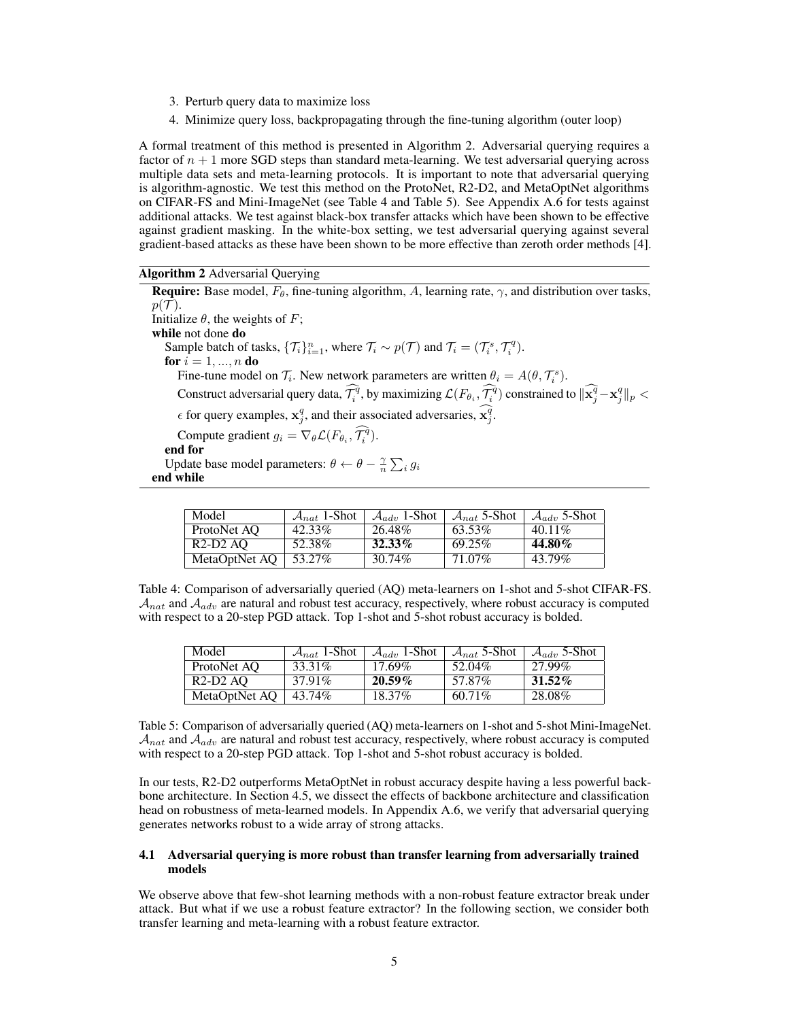- 3. Perturb query data to maximize loss
- 4. Minimize query loss, backpropagating through the fine-tuning algorithm (outer loop)

A formal treatment of this method is presented in Algorithm 2. Adversarial querying requires a factor of  $n + 1$  more SGD steps than standard meta-learning. We test adversarial querying across multiple data sets and meta-learning protocols. It is important to note that adversarial querying is algorithm-agnostic. We test this method on the ProtoNet, R2-D2, and MetaOptNet algorithms on CIFAR-FS and Mini-ImageNet (see Table 4 and Table 5). See Appendix A.6 for tests against additional attacks. We test against black-box transfer attacks which have been shown to be effective against gradient masking. In the white-box setting, we test adversarial querying against several gradient-based attacks as these have been shown to be more effective than zeroth order methods [4].

Algorithm 2 Adversarial Querying

**Require:** Base model,  $F_{\theta}$ , fine-tuning algorithm, A, learning rate,  $\gamma$ , and distribution over tasks,  $p(\mathcal{T}).$ Initialize  $\theta$ , the weights of F; while not done do Sample batch of tasks,  $\{\mathcal{T}_i\}_{i=1}^n$ , where  $\mathcal{T}_i \sim p(\mathcal{T})$  and  $\mathcal{T}_i = (\mathcal{T}_i^s, \mathcal{T}_i^q)$ . for  $i = 1, ..., n$  do Fine-tune model on  $\mathcal{T}_i$ . New network parameters are written  $\theta_i = A(\theta, \mathcal{T}_i^s)$ . Construct adversarial query data,  $\widehat{\mathcal{T}_i^q}$ , by maximizing  $\mathcal{L}(F_{\theta_i}, \widehat{\mathcal{T}_i^q})$  constrained to  $\|\widehat{\mathbf{x}_j^q} - \mathbf{x}_j^q\|_p < \infty$  $\epsilon$  for query examples,  $\mathbf{x}_j^q$ , and their associated adversaries,  $\mathbf{x}_j^q$ . Compute gradient  $g_i = \nabla_{\theta} \mathcal{L}(F_{\theta_i}, \mathcal{T}_i^{\tilde{q}}).$ end for Update base model parameters:  $\theta \leftarrow \theta - \frac{\gamma}{n} \sum_i g_i$ end while

| Model         | $\mathcal{A}_{nat}$ 1-Shot | $\mathcal{A}_{adv}$ 1-Shot | $\mathcal{A}_{nat}$ 5-Shot | $\mathcal{A}_{adv}$ 5-Shot |
|---------------|----------------------------|----------------------------|----------------------------|----------------------------|
| ProtoNet AO   | 42.33%                     | 26.48%                     | 63.53%                     | $40.11\%$                  |
| $R2-D2AO$     | 52.38%                     | 32.33%                     | 69.25%                     | 44.80%                     |
| MetaOptNet AO | 53.27%                     | 30.74%                     | 71.07%                     | 43.79%                     |

Table 4: Comparison of adversarially queried (AQ) meta-learners on 1-shot and 5-shot CIFAR-FS.  $A_{nat}$  and  $A_{adv}$  are natural and robust test accuracy, respectively, where robust accuracy is computed with respect to a 20-step PGD attack. Top 1-shot and 5-shot robust accuracy is bolded.

| Model         | $\mathcal{A}_{nat}$ 1-Shot | $\mathcal{A}_{adv}$ 1-Shot | $\mathcal{A}_{nat}$ 5-Shot | $\mathcal{A}_{adv}$ 5-Shot |
|---------------|----------------------------|----------------------------|----------------------------|----------------------------|
| ProtoNet AO   | 33.31\%                    | $17.69\%$                  | 52.04%                     | 27.99%                     |
| $R2-D2AO$     | 37.91%                     | $20.59\%$                  | 57.87%                     | $31.52\%$                  |
| MetaOptNet AO | 43.74%                     | 18.37\%                    | $60.71\%$                  | 28.08%                     |

Table 5: Comparison of adversarially queried (AQ) meta-learners on 1-shot and 5-shot Mini-ImageNet.  $A_{nat}$  and  $A_{adv}$  are natural and robust test accuracy, respectively, where robust accuracy is computed with respect to a 20-step PGD attack. Top 1-shot and 5-shot robust accuracy is bolded.

In our tests, R2-D2 outperforms MetaOptNet in robust accuracy despite having a less powerful backbone architecture. In Section 4.5, we dissect the effects of backbone architecture and classification head on robustness of meta-learned models. In Appendix A.6, we verify that adversarial querying generates networks robust to a wide array of strong attacks.

#### 4.1 Adversarial querying is more robust than transfer learning from adversarially trained models

We observe above that few-shot learning methods with a non-robust feature extractor break under attack. But what if we use a robust feature extractor? In the following section, we consider both transfer learning and meta-learning with a robust feature extractor.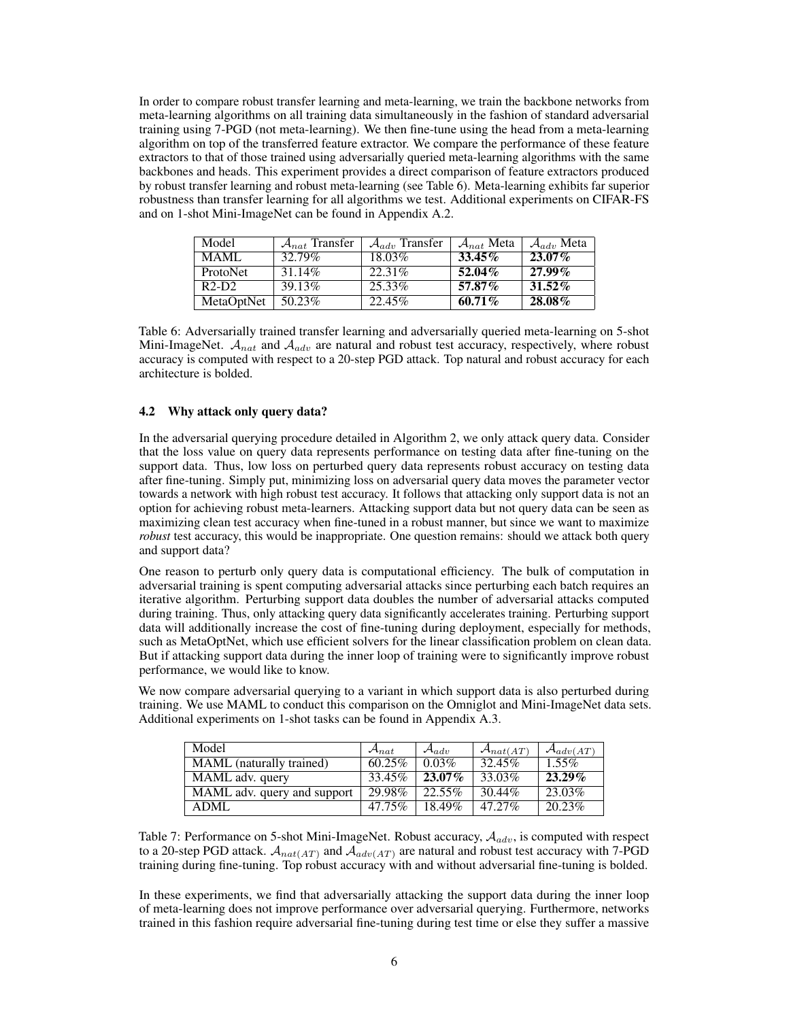In order to compare robust transfer learning and meta-learning, we train the backbone networks from meta-learning algorithms on all training data simultaneously in the fashion of standard adversarial training using 7-PGD (not meta-learning). We then fine-tune using the head from a meta-learning algorithm on top of the transferred feature extractor. We compare the performance of these feature extractors to that of those trained using adversarially queried meta-learning algorithms with the same backbones and heads. This experiment provides a direct comparison of feature extractors produced by robust transfer learning and robust meta-learning (see Table 6). Meta-learning exhibits far superior robustness than transfer learning for all algorithms we test. Additional experiments on CIFAR-FS and on 1-shot Mini-ImageNet can be found in Appendix A.2.

| Model           | $A_{nat}$ Transfer | $\mathcal{A}_{adv}$ Transfer | $\mathcal{A}_{nat}$ Meta | $\mathcal{A}_{adv}$ Meta |
|-----------------|--------------------|------------------------------|--------------------------|--------------------------|
| MAMI.           | 32.79%             | 18.03%                       | $33.45\%$                | $23.07\%$                |
| <b>ProtoNet</b> | 31.14\%            | 22.31%                       | $52.04\%$                | $27.99\%$                |
| $R2-D2$         | 39.13\%            | 25.33%                       | $57.87\%$                | $31.52\%$                |
| MetaOptNet      | 50.23%             | 22.45%                       | $60.71\%$                | 28.08%                   |

Table 6: Adversarially trained transfer learning and adversarially queried meta-learning on 5-shot Mini-ImageNet.  $A_{nat}$  and  $A_{adv}$  are natural and robust test accuracy, respectively, where robust accuracy is computed with respect to a 20-step PGD attack. Top natural and robust accuracy for each architecture is bolded.

#### 4.2 Why attack only query data?

In the adversarial querying procedure detailed in Algorithm 2, we only attack query data. Consider that the loss value on query data represents performance on testing data after fine-tuning on the support data. Thus, low loss on perturbed query data represents robust accuracy on testing data after fine-tuning. Simply put, minimizing loss on adversarial query data moves the parameter vector towards a network with high robust test accuracy. It follows that attacking only support data is not an option for achieving robust meta-learners. Attacking support data but not query data can be seen as maximizing clean test accuracy when fine-tuned in a robust manner, but since we want to maximize *robust* test accuracy, this would be inappropriate. One question remains: should we attack both query and support data?

One reason to perturb only query data is computational efficiency. The bulk of computation in adversarial training is spent computing adversarial attacks since perturbing each batch requires an iterative algorithm. Perturbing support data doubles the number of adversarial attacks computed during training. Thus, only attacking query data significantly accelerates training. Perturbing support data will additionally increase the cost of fine-tuning during deployment, especially for methods, such as MetaOptNet, which use efficient solvers for the linear classification problem on clean data. But if attacking support data during the inner loop of training were to significantly improve robust performance, we would like to know.

We now compare adversarial querying to a variant in which support data is also perturbed during training. We use MAML to conduct this comparison on the Omniglot and Mini-ImageNet data sets. Additional experiments on 1-shot tasks can be found in Appendix A.3.

| Model                           | $\mathcal{A}_{nat}$ | $\mathcal{A}_{adv}$ | $\mathcal{A}_{nat(AT)}$ | $\mathcal{A}_{adv(AT)}$ |
|---------------------------------|---------------------|---------------------|-------------------------|-------------------------|
| <b>MAML</b> (naturally trained) | $60.25\%$           | 0.03%               | 32.45%                  | $1.55\%$                |
| MAML adv. query                 | 33.45%              | $23.07\%$           | 33.03%                  | $23.29\%$               |
| MAML adv. query and support     | 29.98%              | $22.55\%$           | 30.44%                  | 23.03%                  |
| ADML                            | $47.75\%$           | 18.49%              | $47.27\%$               | 20.23\%                 |

Table 7: Performance on 5-shot Mini-ImageNet. Robust accuracy,  $A_{adv}$ , is computed with respect to a 20-step PGD attack.  $A_{nat(AT)}$  and  $A_{adv(AT)}$  are natural and robust test accuracy with 7-PGD training during fine-tuning. Top robust accuracy with and without adversarial fine-tuning is bolded.

In these experiments, we find that adversarially attacking the support data during the inner loop of meta-learning does not improve performance over adversarial querying. Furthermore, networks trained in this fashion require adversarial fine-tuning during test time or else they suffer a massive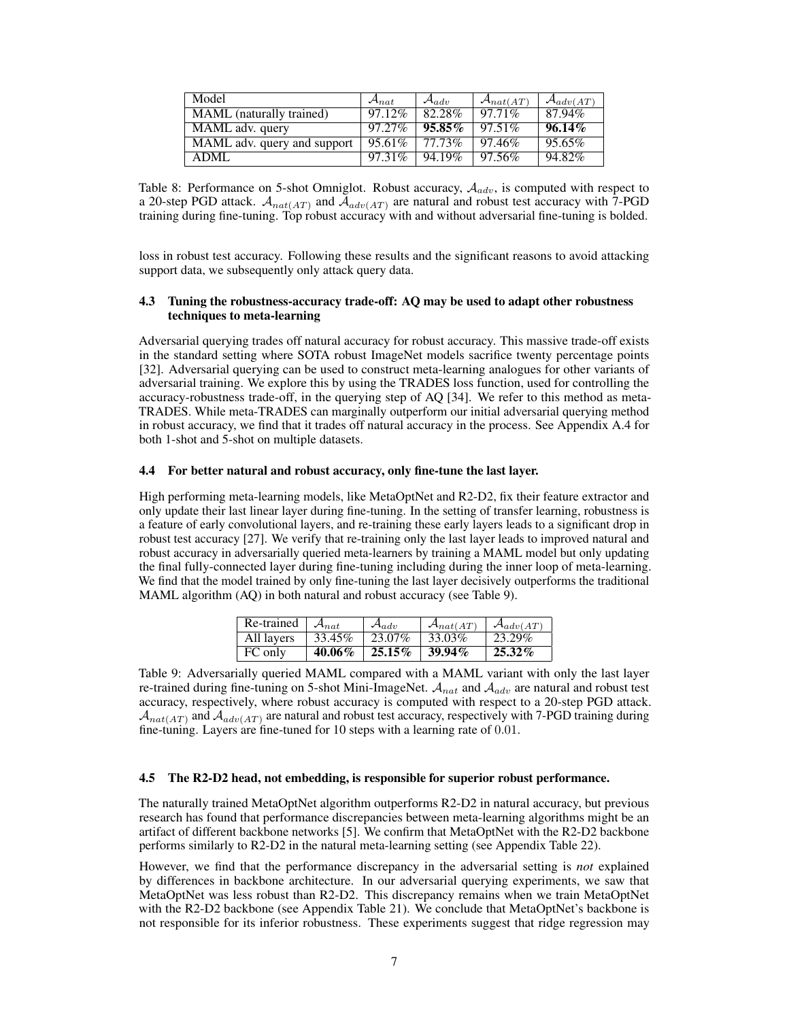| Model                       | $\mathcal{A}_{nat}$ | $\mathcal{A}_{adv}$ | $\mathcal{A}_{nat(AT)}$ | $\mathcal{A}_{adv(AT)}$ |
|-----------------------------|---------------------|---------------------|-------------------------|-------------------------|
| MAML (naturally trained)    | 97.12%              | 82.28%              | $97.71\%$               | 87.94%                  |
| MAML adv. query             | 97.27%              | $95.85\%$           | $97.51\%$               | $96.14\%$               |
| MAML adv. query and support | 95.61\%             | 77.73%              | 97.46%                  | 95.65%                  |
| <b>ADML</b>                 | 97.31\%             | 94.19%              | 97.56%                  | 94.82%                  |

Table 8: Performance on 5-shot Omniglot. Robust accuracy,  $A_{adv}$ , is computed with respect to a 20-step PGD attack.  $A_{nat(AT)}$  and  $A_{adv(AT)}$  are natural and robust test accuracy with 7-PGD training during fine-tuning. Top robust accuracy with and without adversarial fine-tuning is bolded.

loss in robust test accuracy. Following these results and the significant reasons to avoid attacking support data, we subsequently only attack query data.

## 4.3 Tuning the robustness-accuracy trade-off: AQ may be used to adapt other robustness techniques to meta-learning

Adversarial querying trades off natural accuracy for robust accuracy. This massive trade-off exists in the standard setting where SOTA robust ImageNet models sacrifice twenty percentage points [32]. Adversarial querying can be used to construct meta-learning analogues for other variants of adversarial training. We explore this by using the TRADES loss function, used for controlling the accuracy-robustness trade-off, in the querying step of AQ [34]. We refer to this method as meta-TRADES. While meta-TRADES can marginally outperform our initial adversarial querying method in robust accuracy, we find that it trades off natural accuracy in the process. See Appendix A.4 for both 1-shot and 5-shot on multiple datasets.

#### 4.4 For better natural and robust accuracy, only fine-tune the last layer.

High performing meta-learning models, like MetaOptNet and R2-D2, fix their feature extractor and only update their last linear layer during fine-tuning. In the setting of transfer learning, robustness is a feature of early convolutional layers, and re-training these early layers leads to a significant drop in robust test accuracy [27]. We verify that re-training only the last layer leads to improved natural and robust accuracy in adversarially queried meta-learners by training a MAML model but only updating the final fully-connected layer during fine-tuning including during the inner loop of meta-learning. We find that the model trained by only fine-tuning the last layer decisively outperforms the traditional MAML algorithm (AQ) in both natural and robust accuracy (see Table 9).

| Re-trained | $\mathcal{A}_{nat}$ | $\mathcal{A}_{adv}$ | $\mathcal{A}_{nat(AT)}$ | $\mathcal{A}_{adv(AT)}$ |
|------------|---------------------|---------------------|-------------------------|-------------------------|
| All layers | 33.45%              | $23.07\%$           | 33.03%                  | 23.29%                  |
| FC only    | $40.06\%$           | $25.15\%$           | $39.94\%$               | $25.32\%$               |

Table 9: Adversarially queried MAML compared with a MAML variant with only the last layer re-trained during fine-tuning on 5-shot Mini-ImageNet.  $A_{nat}$  and  $A_{adv}$  are natural and robust test accuracy, respectively, where robust accuracy is computed with respect to a 20-step PGD attack.  $\mathcal{A}_{nat(AT)}$  and  $\mathcal{A}_{adv(AT)}$  are natural and robust test accuracy, respectively with 7-PGD training during fine-tuning. Layers are fine-tuned for 10 steps with a learning rate of 0.01.

#### 4.5 The R2-D2 head, not embedding, is responsible for superior robust performance.

The naturally trained MetaOptNet algorithm outperforms R2-D2 in natural accuracy, but previous research has found that performance discrepancies between meta-learning algorithms might be an artifact of different backbone networks [5]. We confirm that MetaOptNet with the R2-D2 backbone performs similarly to R2-D2 in the natural meta-learning setting (see Appendix Table 22).

However, we find that the performance discrepancy in the adversarial setting is *not* explained by differences in backbone architecture. In our adversarial querying experiments, we saw that MetaOptNet was less robust than R2-D2. This discrepancy remains when we train MetaOptNet with the R2-D2 backbone (see Appendix Table 21). We conclude that MetaOptNet's backbone is not responsible for its inferior robustness. These experiments suggest that ridge regression may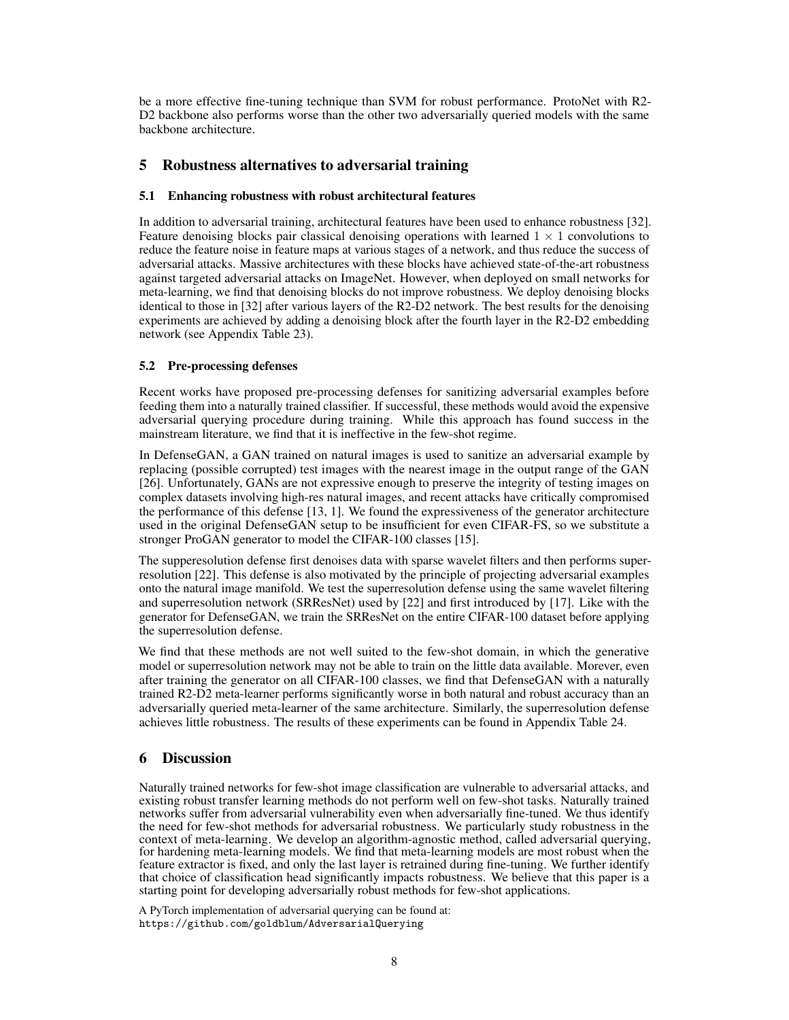be a more effective fine-tuning technique than SVM for robust performance. ProtoNet with R2- D<sub>2</sub> backbone also performs worse than the other two adversarially queried models with the same backbone architecture.

# 5 Robustness alternatives to adversarial training

## 5.1 Enhancing robustness with robust architectural features

In addition to adversarial training, architectural features have been used to enhance robustness [32]. Feature denoising blocks pair classical denoising operations with learned  $1 \times 1$  convolutions to reduce the feature noise in feature maps at various stages of a network, and thus reduce the success of adversarial attacks. Massive architectures with these blocks have achieved state-of-the-art robustness against targeted adversarial attacks on ImageNet. However, when deployed on small networks for meta-learning, we find that denoising blocks do not improve robustness. We deploy denoising blocks identical to those in [32] after various layers of the R2-D2 network. The best results for the denoising experiments are achieved by adding a denoising block after the fourth layer in the R2-D2 embedding network (see Appendix Table 23).

## 5.2 Pre-processing defenses

Recent works have proposed pre-processing defenses for sanitizing adversarial examples before feeding them into a naturally trained classifier. If successful, these methods would avoid the expensive adversarial querying procedure during training. While this approach has found success in the mainstream literature, we find that it is ineffective in the few-shot regime.

In DefenseGAN, a GAN trained on natural images is used to sanitize an adversarial example by replacing (possible corrupted) test images with the nearest image in the output range of the GAN [26]. Unfortunately, GANs are not expressive enough to preserve the integrity of testing images on complex datasets involving high-res natural images, and recent attacks have critically compromised the performance of this defense [13, 1]. We found the expressiveness of the generator architecture used in the original DefenseGAN setup to be insufficient for even CIFAR-FS, so we substitute a stronger ProGAN generator to model the CIFAR-100 classes [15].

The supperesolution defense first denoises data with sparse wavelet filters and then performs superresolution [22]. This defense is also motivated by the principle of projecting adversarial examples onto the natural image manifold. We test the superresolution defense using the same wavelet filtering and superresolution network (SRResNet) used by [22] and first introduced by [17]. Like with the generator for DefenseGAN, we train the SRResNet on the entire CIFAR-100 dataset before applying the superresolution defense.

We find that these methods are not well suited to the few-shot domain, in which the generative model or superresolution network may not be able to train on the little data available. Morever, even after training the generator on all CIFAR-100 classes, we find that DefenseGAN with a naturally trained R2-D2 meta-learner performs significantly worse in both natural and robust accuracy than an adversarially queried meta-learner of the same architecture. Similarly, the superresolution defense achieves little robustness. The results of these experiments can be found in Appendix Table 24.

# 6 Discussion

Naturally trained networks for few-shot image classification are vulnerable to adversarial attacks, and existing robust transfer learning methods do not perform well on few-shot tasks. Naturally trained networks suffer from adversarial vulnerability even when adversarially fine-tuned. We thus identify the need for few-shot methods for adversarial robustness. We particularly study robustness in the context of meta-learning. We develop an algorithm-agnostic method, called adversarial querying, for hardening meta-learning models. We find that meta-learning models are most robust when the feature extractor is fixed, and only the last layer is retrained during fine-tuning. We further identify that choice of classification head significantly impacts robustness. We believe that this paper is a starting point for developing adversarially robust methods for few-shot applications.

A PyTorch implementation of adversarial querying can be found at: https://github.com/goldblum/AdversarialQuerying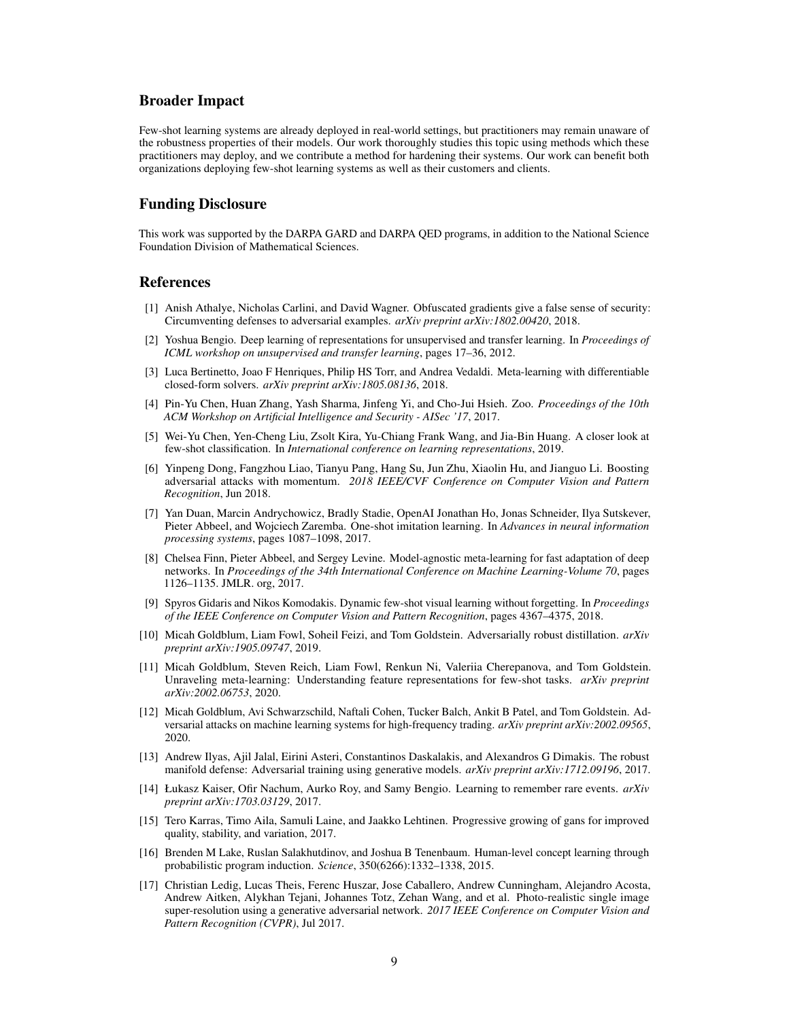## Broader Impact

Few-shot learning systems are already deployed in real-world settings, but practitioners may remain unaware of the robustness properties of their models. Our work thoroughly studies this topic using methods which these practitioners may deploy, and we contribute a method for hardening their systems. Our work can benefit both organizations deploying few-shot learning systems as well as their customers and clients.

# Funding Disclosure

This work was supported by the DARPA GARD and DARPA QED programs, in addition to the National Science Foundation Division of Mathematical Sciences.

## References

- [1] Anish Athalye, Nicholas Carlini, and David Wagner. Obfuscated gradients give a false sense of security: Circumventing defenses to adversarial examples. *arXiv preprint arXiv:1802.00420*, 2018.
- [2] Yoshua Bengio. Deep learning of representations for unsupervised and transfer learning. In *Proceedings of ICML workshop on unsupervised and transfer learning*, pages 17–36, 2012.
- [3] Luca Bertinetto, Joao F Henriques, Philip HS Torr, and Andrea Vedaldi. Meta-learning with differentiable closed-form solvers. *arXiv preprint arXiv:1805.08136*, 2018.
- [4] Pin-Yu Chen, Huan Zhang, Yash Sharma, Jinfeng Yi, and Cho-Jui Hsieh. Zoo. *Proceedings of the 10th ACM Workshop on Artificial Intelligence and Security - AISec '17*, 2017.
- [5] Wei-Yu Chen, Yen-Cheng Liu, Zsolt Kira, Yu-Chiang Frank Wang, and Jia-Bin Huang. A closer look at few-shot classification. In *International conference on learning representations*, 2019.
- [6] Yinpeng Dong, Fangzhou Liao, Tianyu Pang, Hang Su, Jun Zhu, Xiaolin Hu, and Jianguo Li. Boosting adversarial attacks with momentum. *2018 IEEE/CVF Conference on Computer Vision and Pattern Recognition*, Jun 2018.
- [7] Yan Duan, Marcin Andrychowicz, Bradly Stadie, OpenAI Jonathan Ho, Jonas Schneider, Ilya Sutskever, Pieter Abbeel, and Wojciech Zaremba. One-shot imitation learning. In *Advances in neural information processing systems*, pages 1087–1098, 2017.
- [8] Chelsea Finn, Pieter Abbeel, and Sergey Levine. Model-agnostic meta-learning for fast adaptation of deep networks. In *Proceedings of the 34th International Conference on Machine Learning-Volume 70*, pages 1126–1135. JMLR. org, 2017.
- [9] Spyros Gidaris and Nikos Komodakis. Dynamic few-shot visual learning without forgetting. In *Proceedings of the IEEE Conference on Computer Vision and Pattern Recognition*, pages 4367–4375, 2018.
- [10] Micah Goldblum, Liam Fowl, Soheil Feizi, and Tom Goldstein. Adversarially robust distillation. *arXiv preprint arXiv:1905.09747*, 2019.
- [11] Micah Goldblum, Steven Reich, Liam Fowl, Renkun Ni, Valeriia Cherepanova, and Tom Goldstein. Unraveling meta-learning: Understanding feature representations for few-shot tasks. *arXiv preprint arXiv:2002.06753*, 2020.
- [12] Micah Goldblum, Avi Schwarzschild, Naftali Cohen, Tucker Balch, Ankit B Patel, and Tom Goldstein. Adversarial attacks on machine learning systems for high-frequency trading. *arXiv preprint arXiv:2002.09565*, 2020.
- [13] Andrew Ilyas, Ajil Jalal, Eirini Asteri, Constantinos Daskalakis, and Alexandros G Dimakis. The robust manifold defense: Adversarial training using generative models. *arXiv preprint arXiv:1712.09196*, 2017.
- [14] Łukasz Kaiser, Ofir Nachum, Aurko Roy, and Samy Bengio. Learning to remember rare events. *arXiv preprint arXiv:1703.03129*, 2017.
- [15] Tero Karras, Timo Aila, Samuli Laine, and Jaakko Lehtinen. Progressive growing of gans for improved quality, stability, and variation, 2017.
- [16] Brenden M Lake, Ruslan Salakhutdinov, and Joshua B Tenenbaum. Human-level concept learning through probabilistic program induction. *Science*, 350(6266):1332–1338, 2015.
- [17] Christian Ledig, Lucas Theis, Ferenc Huszar, Jose Caballero, Andrew Cunningham, Alejandro Acosta, Andrew Aitken, Alykhan Tejani, Johannes Totz, Zehan Wang, and et al. Photo-realistic single image super-resolution using a generative adversarial network. *2017 IEEE Conference on Computer Vision and Pattern Recognition (CVPR)*, Jul 2017.